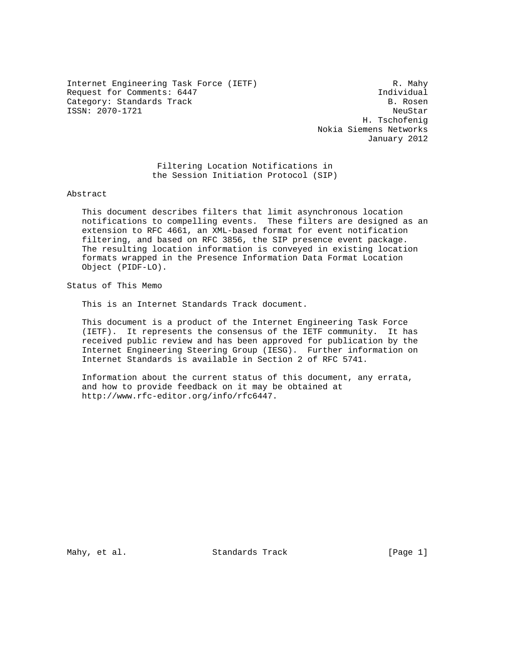Internet Engineering Task Force (IETF) R. Mahy Request for Comments: 6447<br>Category: Standards Track Category: B. Rosen Category: Standards Track ISSN: 2070-1721 NeuStar

 H. Tschofenig Nokia Siemens Networks January 2012

 Filtering Location Notifications in the Session Initiation Protocol (SIP)

Abstract

 This document describes filters that limit asynchronous location notifications to compelling events. These filters are designed as an extension to RFC 4661, an XML-based format for event notification filtering, and based on RFC 3856, the SIP presence event package. The resulting location information is conveyed in existing location formats wrapped in the Presence Information Data Format Location Object (PIDF-LO).

Status of This Memo

This is an Internet Standards Track document.

 This document is a product of the Internet Engineering Task Force (IETF). It represents the consensus of the IETF community. It has received public review and has been approved for publication by the Internet Engineering Steering Group (IESG). Further information on Internet Standards is available in Section 2 of RFC 5741.

 Information about the current status of this document, any errata, and how to provide feedback on it may be obtained at http://www.rfc-editor.org/info/rfc6447.

Mahy, et al. Standards Track [Page 1]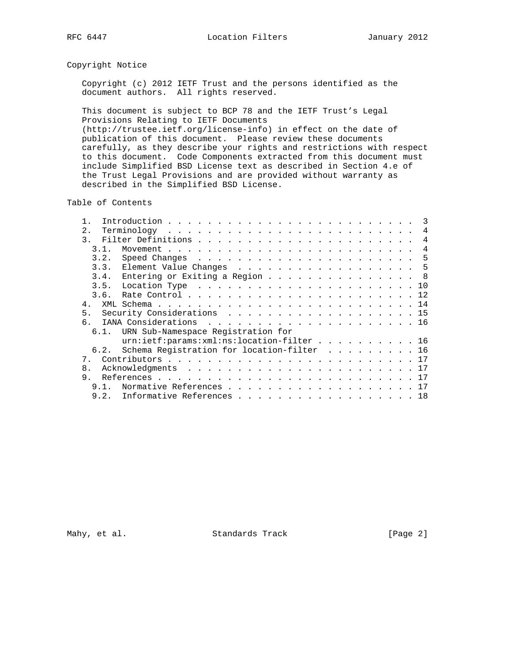## Copyright Notice

 Copyright (c) 2012 IETF Trust and the persons identified as the document authors. All rights reserved.

 This document is subject to BCP 78 and the IETF Trust's Legal Provisions Relating to IETF Documents (http://trustee.ietf.org/license-info) in effect on the date of publication of this document. Please review these documents carefully, as they describe your rights and restrictions with respect to this document. Code Components extracted from this document must include Simplified BSD License text as described in Section 4.e of the Trust Legal Provisions and are provided without warranty as described in the Simplified BSD License.

Table of Contents

| 2.            |                                            |  |  |  | 4              |
|---------------|--------------------------------------------|--|--|--|----------------|
| $\mathcal{E}$ |                                            |  |  |  | 4              |
| 31            |                                            |  |  |  | $\overline{4}$ |
| 3.2.          |                                            |  |  |  |                |
| 3.3.          | Element Value Changes 5                    |  |  |  |                |
| 3.4.          | Entering or Exiting a Region 8             |  |  |  |                |
| 3.5.          |                                            |  |  |  |                |
| 3.6.          |                                            |  |  |  |                |
| 4.            |                                            |  |  |  |                |
| 5.            | Security Considerations 15                 |  |  |  |                |
|               |                                            |  |  |  |                |
|               | 6.1. URN Sub-Namespace Registration for    |  |  |  |                |
|               | urn:ietf:params:xml:ns:location-filter 16  |  |  |  |                |
| 6.2.          | Schema Registration for location-filter 16 |  |  |  |                |
| $7$ .         |                                            |  |  |  |                |
| 8.            |                                            |  |  |  |                |
| 9.            |                                            |  |  |  |                |
| 9.1.          | Normative References 17                    |  |  |  |                |
| 9.2.          | Informative References 18                  |  |  |  |                |

Mahy, et al. Standards Track [Page 2]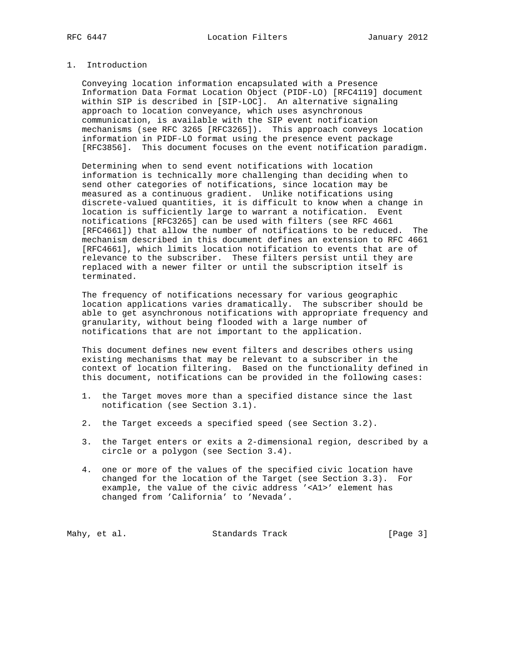# 1. Introduction

 Conveying location information encapsulated with a Presence Information Data Format Location Object (PIDF-LO) [RFC4119] document within SIP is described in [SIP-LOC]. An alternative signaling approach to location conveyance, which uses asynchronous communication, is available with the SIP event notification mechanisms (see RFC 3265 [RFC3265]). This approach conveys location information in PIDF-LO format using the presence event package [RFC3856]. This document focuses on the event notification paradigm.

 Determining when to send event notifications with location information is technically more challenging than deciding when to send other categories of notifications, since location may be measured as a continuous gradient. Unlike notifications using discrete-valued quantities, it is difficult to know when a change in location is sufficiently large to warrant a notification. Event notifications [RFC3265] can be used with filters (see RFC 4661 [RFC4661]) that allow the number of notifications to be reduced. The mechanism described in this document defines an extension to RFC 4661 [RFC4661], which limits location notification to events that are of relevance to the subscriber. These filters persist until they are replaced with a newer filter or until the subscription itself is terminated.

 The frequency of notifications necessary for various geographic location applications varies dramatically. The subscriber should be able to get asynchronous notifications with appropriate frequency and granularity, without being flooded with a large number of notifications that are not important to the application.

 This document defines new event filters and describes others using existing mechanisms that may be relevant to a subscriber in the context of location filtering. Based on the functionality defined in this document, notifications can be provided in the following cases:

- 1. the Target moves more than a specified distance since the last notification (see Section 3.1).
- 2. the Target exceeds a specified speed (see Section 3.2).
- 3. the Target enters or exits a 2-dimensional region, described by a circle or a polygon (see Section 3.4).
- 4. one or more of the values of the specified civic location have changed for the location of the Target (see Section 3.3). For example, the value of the civic address '<A1>' element has changed from 'California' to 'Nevada'.

Mahy, et al. Standards Track [Page 3]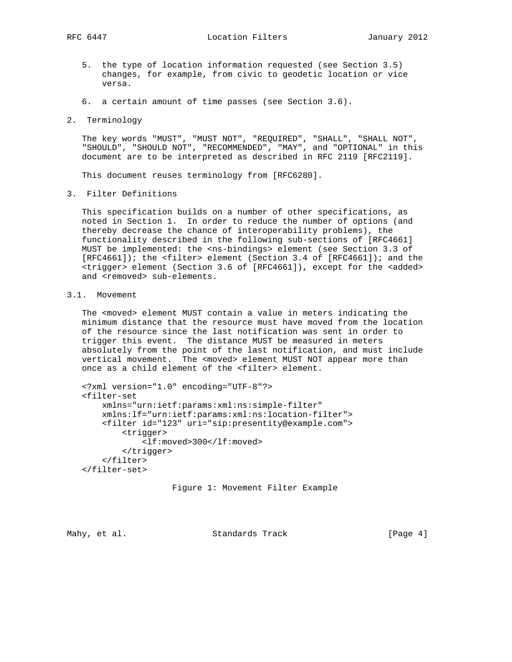RFC 6447 **Location Filters** January 2012

- 5. the type of location information requested (see Section 3.5) changes, for example, from civic to geodetic location or vice versa.
- 6. a certain amount of time passes (see Section 3.6).
- 2. Terminology

 The key words "MUST", "MUST NOT", "REQUIRED", "SHALL", "SHALL NOT", "SHOULD", "SHOULD NOT", "RECOMMENDED", "MAY", and "OPTIONAL" in this document are to be interpreted as described in RFC 2119 [RFC2119].

This document reuses terminology from [RFC6280].

3. Filter Definitions

 This specification builds on a number of other specifications, as noted in Section 1. In order to reduce the number of options (and thereby decrease the chance of interoperability problems), the functionality described in the following sub-sections of [RFC4661] MUST be implemented: the <ns-bindings> element (see Section 3.3 of [RFC4661]); the <filter> element (Section 3.4 of [RFC4661]); and the <trigger> element (Section 3.6 of [RFC4661]), except for the <added> and <removed> sub-elements.

## 3.1. Movement

 The <moved> element MUST contain a value in meters indicating the minimum distance that the resource must have moved from the location of the resource since the last notification was sent in order to trigger this event. The distance MUST be measured in meters absolutely from the point of the last notification, and must include vertical movement. The <moved> element MUST NOT appear more than once as a child element of the <filter> element.

```
 <?xml version="1.0" encoding="UTF-8"?>
<filter-set
    xmlns="urn:ietf:params:xml:ns:simple-filter"
    xmlns:lf="urn:ietf:params:xml:ns:location-filter">
    <filter id="123" uri="sip:presentity@example.com">
        <trigger>
            <lf:moved>300</lf:moved>
        </trigger>
    </filter>
</filter-set>
```
Figure 1: Movement Filter Example

Mahy, et al. Standards Track [Page 4]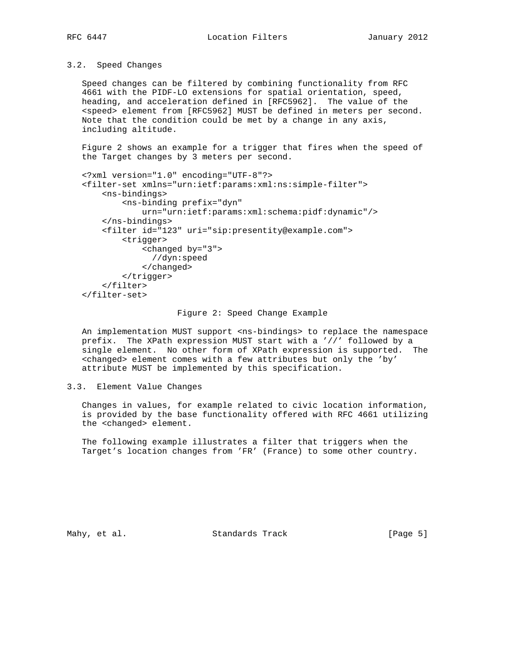# 3.2. Speed Changes

 Speed changes can be filtered by combining functionality from RFC 4661 with the PIDF-LO extensions for spatial orientation, speed, heading, and acceleration defined in [RFC5962]. The value of the <speed> element from [RFC5962] MUST be defined in meters per second. Note that the condition could be met by a change in any axis, including altitude.

 Figure 2 shows an example for a trigger that fires when the speed of the Target changes by 3 meters per second.

```
 <?xml version="1.0" encoding="UTF-8"?>
<filter-set xmlns="urn:ietf:params:xml:ns:simple-filter">
    <ns-bindings>
        <ns-binding prefix="dyn"
            urn="urn:ietf:params:xml:schema:pidf:dynamic"/>
    </ns-bindings>
    <filter id="123" uri="sip:presentity@example.com">
        <trigger>
            <changed by="3">
              //dyn:speed
            </changed>
        </trigger>
    </filter>
</filter-set>
```
#### Figure 2: Speed Change Example

An implementation MUST support <ns-bindings> to replace the namespace prefix. The XPath expression MUST start with a '//' followed by a single element. No other form of XPath expression is supported. The <changed> element comes with a few attributes but only the 'by' attribute MUST be implemented by this specification.

#### 3.3. Element Value Changes

 Changes in values, for example related to civic location information, is provided by the base functionality offered with RFC 4661 utilizing the <changed> element.

 The following example illustrates a filter that triggers when the Target's location changes from 'FR' (France) to some other country.

Mahy, et al. Standards Track [Page 5]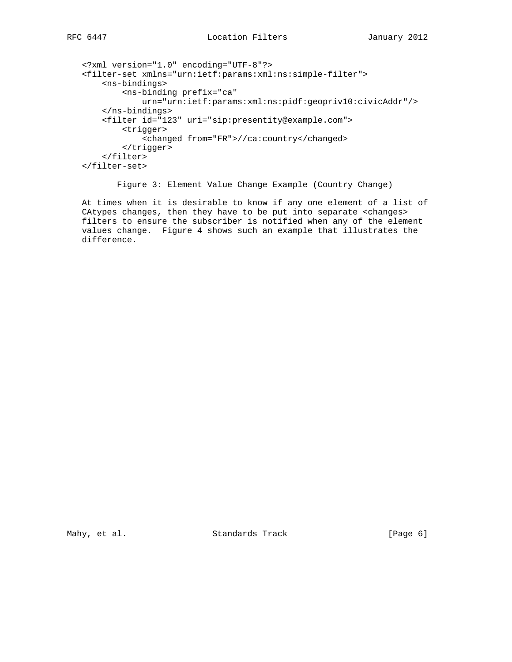```
 <?xml version="1.0" encoding="UTF-8"?>
<filter-set xmlns="urn:ietf:params:xml:ns:simple-filter">
    <ns-bindings>
        <ns-binding prefix="ca"
            urn="urn:ietf:params:xml:ns:pidf:geopriv10:civicAddr"/>
    </ns-bindings>
   <filter id="123" uri="sip:presentity@example.com">
        <trigger>
            <changed from="FR">//ca:country</changed>
        </trigger>
    </filter>
</filter-set>
```
Figure 3: Element Value Change Example (Country Change)

 At times when it is desirable to know if any one element of a list of CAtypes changes, then they have to be put into separate <changes> filters to ensure the subscriber is notified when any of the element values change. Figure 4 shows such an example that illustrates the difference.

Mahy, et al. Standards Track [Page 6]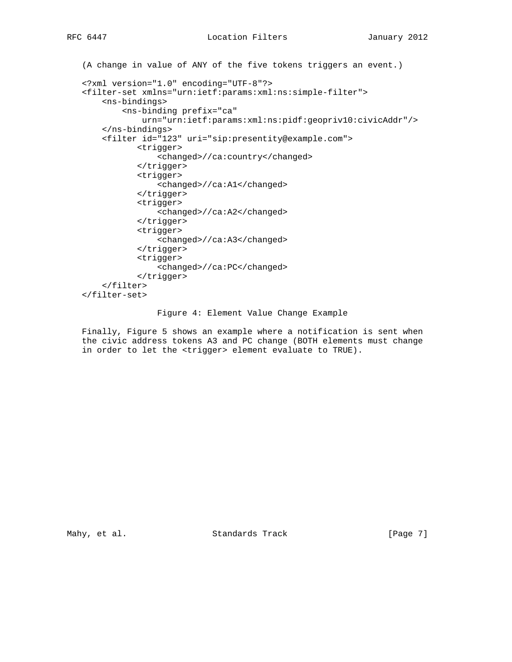```
 (A change in value of ANY of the five tokens triggers an event.)
<?xml version="1.0" encoding="UTF-8"?>
<filter-set xmlns="urn:ietf:params:xml:ns:simple-filter">
    <ns-bindings>
        <ns-binding prefix="ca"
            urn="urn:ietf:params:xml:ns:pidf:geopriv10:civicAddr"/>
    </ns-bindings>
    <filter id="123" uri="sip:presentity@example.com">
           <trigger>
               <changed>//ca:country</changed>
           </trigger>
           <trigger>
               <changed>//ca:A1</changed>
           </trigger>
           <trigger>
               <changed>//ca:A2</changed>
           </trigger>
           <trigger>
               <changed>//ca:A3</changed>
           </trigger>
           <trigger>
               <changed>//ca:PC</changed>
           </trigger>
    </filter>
</filter-set>
```
Figure 4: Element Value Change Example

 Finally, Figure 5 shows an example where a notification is sent when the civic address tokens A3 and PC change (BOTH elements must change in order to let the <trigger> element evaluate to TRUE).

Mahy, et al. Standards Track [Page 7]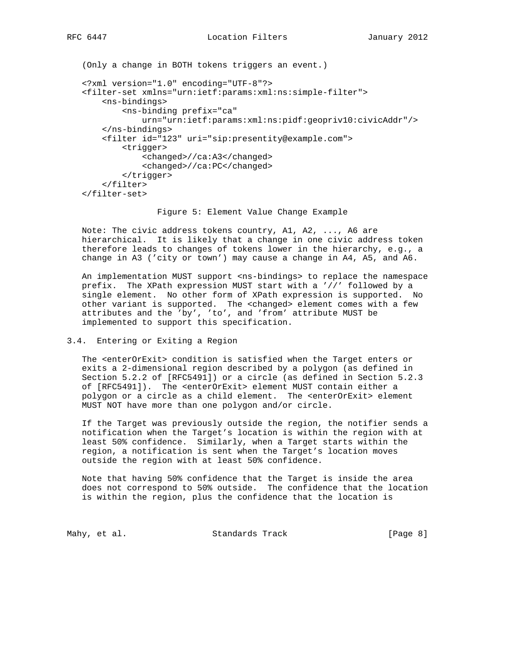```
 (Only a change in BOTH tokens triggers an event.)
<?xml version="1.0" encoding="UTF-8"?>
<filter-set xmlns="urn:ietf:params:xml:ns:simple-filter">
    <ns-bindings>
        <ns-binding prefix="ca"
            urn="urn:ietf:params:xml:ns:pidf:geopriv10:civicAddr"/>
    </ns-bindings>
    <filter id="123" uri="sip:presentity@example.com">
        <trigger>
            <changed>//ca:A3</changed>
            <changed>//ca:PC</changed>
        </trigger>
    </filter>
</filter-set>
```
Figure 5: Element Value Change Example

 Note: The civic address tokens country, A1, A2, ..., A6 are hierarchical. It is likely that a change in one civic address token therefore leads to changes of tokens lower in the hierarchy, e.g., a change in A3 ('city or town') may cause a change in A4, A5, and A6.

An implementation MUST support <ns-bindings> to replace the namespace prefix. The XPath expression MUST start with a '//' followed by a single element. No other form of XPath expression is supported. No other variant is supported. The <changed> element comes with a few attributes and the 'by', 'to', and 'from' attribute MUST be implemented to support this specification.

#### 3.4. Entering or Exiting a Region

 The <enterOrExit> condition is satisfied when the Target enters or exits a 2-dimensional region described by a polygon (as defined in Section 5.2.2 of [RFC5491]) or a circle (as defined in Section 5.2.3 of [RFC5491]). The <enterOrExit> element MUST contain either a polygon or a circle as a child element. The <enterOrExit> element MUST NOT have more than one polygon and/or circle.

 If the Target was previously outside the region, the notifier sends a notification when the Target's location is within the region with at least 50% confidence. Similarly, when a Target starts within the region, a notification is sent when the Target's location moves outside the region with at least 50% confidence.

 Note that having 50% confidence that the Target is inside the area does not correspond to 50% outside. The confidence that the location is within the region, plus the confidence that the location is

Mahy, et al. Standards Track [Page 8]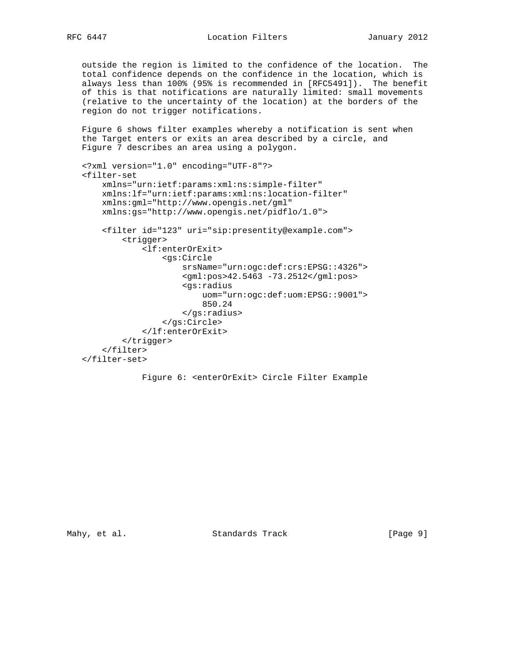outside the region is limited to the confidence of the location. The total confidence depends on the confidence in the location, which is always less than 100% (95% is recommended in [RFC5491]). The benefit of this is that notifications are naturally limited: small movements (relative to the uncertainty of the location) at the borders of the region do not trigger notifications.

 Figure 6 shows filter examples whereby a notification is sent when the Target enters or exits an area described by a circle, and Figure 7 describes an area using a polygon.

```
 <?xml version="1.0" encoding="UTF-8"?>
<filter-set
   xmlns="urn:ietf:params:xml:ns:simple-filter"
    xmlns:lf="urn:ietf:params:xml:ns:location-filter"
    xmlns:gml="http://www.opengis.net/gml"
   xmlns:gs="http://www.opengis.net/pidflo/1.0">
    <filter id="123" uri="sip:presentity@example.com">
        <trigger>
            <lf:enterOrExit>
                 <gs:Circle
                     srsName="urn:ogc:def:crs:EPSG::4326">
                     <gml:pos>42.5463 -73.2512</gml:pos>
                     <gs:radius
                         uom="urn:ogc:def:uom:EPSG::9001">
                         850.24
                     </gs:radius>
                 </gs:Circle>
            </lf:enterOrExit>
        </trigger>
    </filter>
</filter-set>
```

```
 Figure 6: <enterOrExit> Circle Filter Example
```
Mahy, et al. Standards Track [Page 9]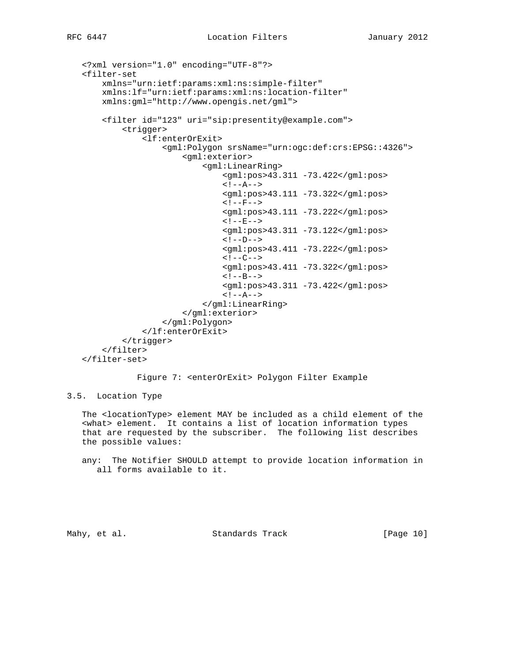```
 <?xml version="1.0" encoding="UTF-8"?>
<filter-set
    xmlns="urn:ietf:params:xml:ns:simple-filter"
    xmlns:lf="urn:ietf:params:xml:ns:location-filter"
    xmlns:gml="http://www.opengis.net/gml">
    <filter id="123" uri="sip:presentity@example.com">
        <trigger>
             <lf:enterOrExit>
                 <gml:Polygon srsName="urn:ogc:def:crs:EPSG::4326">
                     <gml:exterior>
                          <gml:LinearRing>
                              <gml:pos>43.311 -73.422</gml:pos>
                             \langle! --A-->
                              <gml:pos>43.111 -73.322</gml:pos>
                             <! -F-->
                              <gml:pos>43.111 -73.222</gml:pos>
                             <!--E--> <gml:pos>43.311 -73.122</gml:pos>
                             \langle!--D-->
                              <gml:pos>43.411 -73.222</gml:pos>
                             \lt! --C-->
                              <gml:pos>43.411 -73.322</gml:pos>
                             \lt! --B-->
                              <gml:pos>43.311 -73.422</gml:pos>
                             \langle! --A-->
                          </gml:LinearRing>
                     </gml:exterior>
                 </gml:Polygon>
             </lf:enterOrExit>
        </trigger>
    </filter>
</filter-set>
```
Figure 7: <enterOrExit> Polygon Filter Example

3.5. Location Type

 The <locationType> element MAY be included as a child element of the <what> element. It contains a list of location information types that are requested by the subscriber. The following list describes the possible values:

 any: The Notifier SHOULD attempt to provide location information in all forms available to it.

Mahy, et al. Standards Track [Page 10]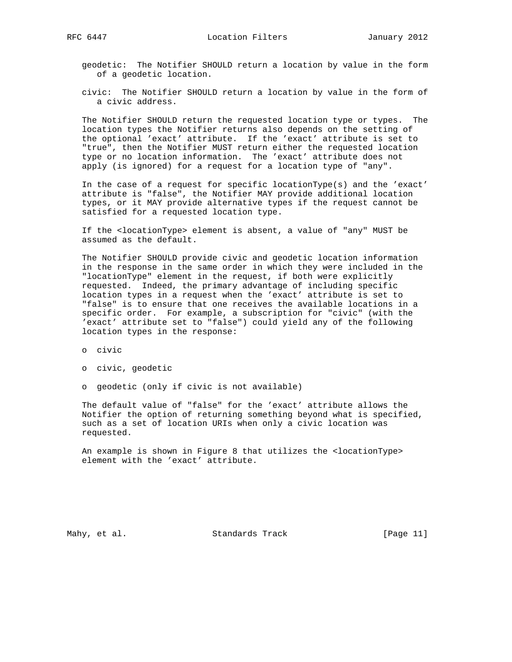geodetic: The Notifier SHOULD return a location by value in the form of a geodetic location.

 civic: The Notifier SHOULD return a location by value in the form of a civic address.

 The Notifier SHOULD return the requested location type or types. The location types the Notifier returns also depends on the setting of the optional 'exact' attribute. If the 'exact' attribute is set to "true", then the Notifier MUST return either the requested location type or no location information. The 'exact' attribute does not apply (is ignored) for a request for a location type of "any".

 In the case of a request for specific locationType(s) and the 'exact' attribute is "false", the Notifier MAY provide additional location types, or it MAY provide alternative types if the request cannot be satisfied for a requested location type.

 If the <locationType> element is absent, a value of "any" MUST be assumed as the default.

 The Notifier SHOULD provide civic and geodetic location information in the response in the same order in which they were included in the "locationType" element in the request, if both were explicitly requested. Indeed, the primary advantage of including specific location types in a request when the 'exact' attribute is set to "false" is to ensure that one receives the available locations in a specific order. For example, a subscription for "civic" (with the 'exact' attribute set to "false") could yield any of the following location types in the response:

o civic

o civic, geodetic

o geodetic (only if civic is not available)

 The default value of "false" for the 'exact' attribute allows the Notifier the option of returning something beyond what is specified, such as a set of location URIs when only a civic location was requested.

 An example is shown in Figure 8 that utilizes the <locationType> element with the 'exact' attribute.

Mahy, et al. Standards Track [Page 11]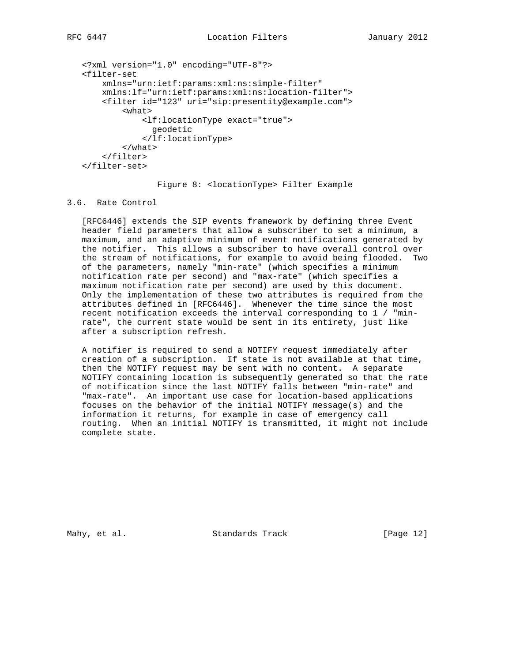```
 <?xml version="1.0" encoding="UTF-8"?>
<filter-set
    xmlns="urn:ietf:params:xml:ns:simple-filter"
    xmlns:lf="urn:ietf:params:xml:ns:location-filter">
    <filter id="123" uri="sip:presentity@example.com">
        <what>
            <lf:locationType exact="true">
              geodetic
            </lf:locationType>
        </what>
    </filter>
</filter-set>
```
Figure 8: <locationType> Filter Example

#### 3.6. Rate Control

 [RFC6446] extends the SIP events framework by defining three Event header field parameters that allow a subscriber to set a minimum, a maximum, and an adaptive minimum of event notifications generated by the notifier. This allows a subscriber to have overall control over the stream of notifications, for example to avoid being flooded. Two of the parameters, namely "min-rate" (which specifies a minimum notification rate per second) and "max-rate" (which specifies a maximum notification rate per second) are used by this document. Only the implementation of these two attributes is required from the attributes defined in [RFC6446]. Whenever the time since the most recent notification exceeds the interval corresponding to 1 / "min rate", the current state would be sent in its entirety, just like after a subscription refresh.

 A notifier is required to send a NOTIFY request immediately after creation of a subscription. If state is not available at that time, then the NOTIFY request may be sent with no content. A separate NOTIFY containing location is subsequently generated so that the rate of notification since the last NOTIFY falls between "min-rate" and "max-rate". An important use case for location-based applications focuses on the behavior of the initial NOTIFY message(s) and the information it returns, for example in case of emergency call routing. When an initial NOTIFY is transmitted, it might not include complete state.

Mahy, et al. Standards Track [Page 12]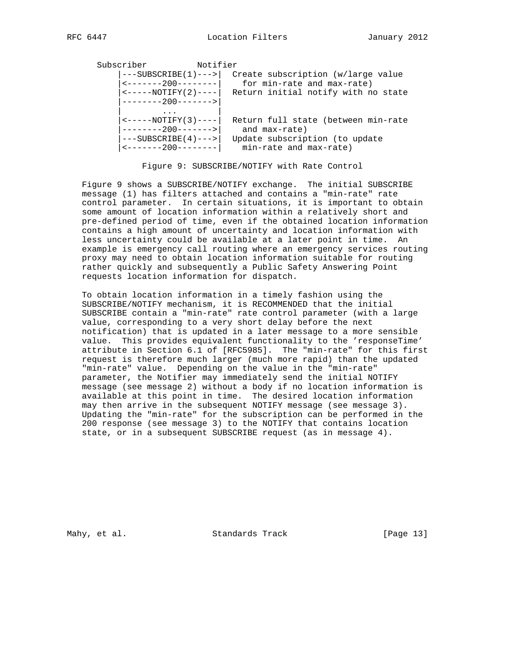Subscriber Notifier

| $---SUBSCRIBE(1)--->$<br>$\left $ <-------200--------<br>$\leftarrow$ -----NOTIFY(2)---- | for min-rate and max-rate)                                                | Create subscription (w/large value<br>Return initial notify with no state |
|------------------------------------------------------------------------------------------|---------------------------------------------------------------------------|---------------------------------------------------------------------------|
| $ -----200-----$<br> ---SUBSCRIBE(4)---> <br> <-------200--------                        | and max-rate)<br>Update subscription (to update<br>min-rate and max-rate) | Return full state (between min-rate                                       |

Figure 9: SUBSCRIBE/NOTIFY with Rate Control

 Figure 9 shows a SUBSCRIBE/NOTIFY exchange. The initial SUBSCRIBE message (1) has filters attached and contains a "min-rate" rate control parameter. In certain situations, it is important to obtain some amount of location information within a relatively short and pre-defined period of time, even if the obtained location information contains a high amount of uncertainty and location information with less uncertainty could be available at a later point in time. An example is emergency call routing where an emergency services routing proxy may need to obtain location information suitable for routing rather quickly and subsequently a Public Safety Answering Point requests location information for dispatch.

 To obtain location information in a timely fashion using the SUBSCRIBE/NOTIFY mechanism, it is RECOMMENDED that the initial SUBSCRIBE contain a "min-rate" rate control parameter (with a large value, corresponding to a very short delay before the next notification) that is updated in a later message to a more sensible value. This provides equivalent functionality to the 'responseTime' attribute in Section 6.1 of [RFC5985]. The "min-rate" for this first request is therefore much larger (much more rapid) than the updated "min-rate" value. Depending on the value in the "min-rate" parameter, the Notifier may immediately send the initial NOTIFY message (see message 2) without a body if no location information is available at this point in time. The desired location information may then arrive in the subsequent NOTIFY message (see message 3). Updating the "min-rate" for the subscription can be performed in the 200 response (see message 3) to the NOTIFY that contains location state, or in a subsequent SUBSCRIBE request (as in message 4).

Mahy, et al. Standards Track [Page 13]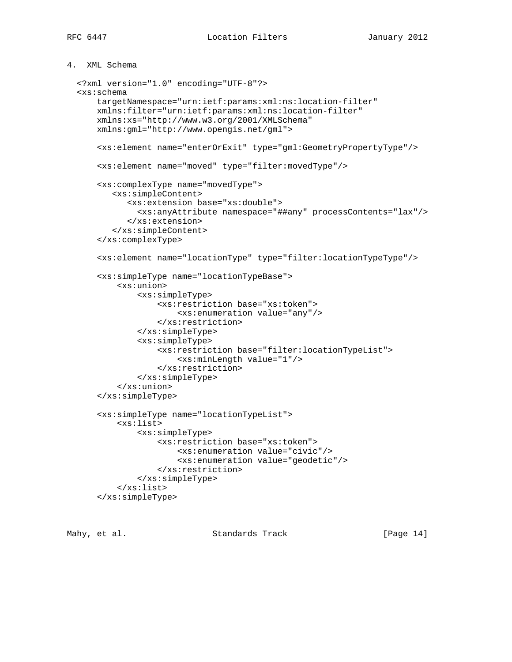4. XML Schema

```
 <?xml version="1.0" encoding="UTF-8"?>
<xs:schema
    targetNamespace="urn:ietf:params:xml:ns:location-filter"
    xmlns:filter="urn:ietf:params:xml:ns:location-filter"
   xmlns:xs="http://www.w3.org/2001/XMLSchema"
    xmlns:gml="http://www.opengis.net/gml">
    <xs:element name="enterOrExit" type="gml:GeometryPropertyType"/>
    <xs:element name="moved" type="filter:movedType"/>
    <xs:complexType name="movedType">
       <xs:simpleContent>
          <xs:extension base="xs:double">
            <xs:anyAttribute namespace="##any" processContents="lax"/>
          </xs:extension>
       </xs:simpleContent>
    </xs:complexType>
    <xs:element name="locationType" type="filter:locationTypeType"/>
    <xs:simpleType name="locationTypeBase">
        <xs:union>
            <xs:simpleType>
                 <xs:restriction base="xs:token">
                     <xs:enumeration value="any"/>
                </xs:restriction>
            </xs:simpleType>
            <xs:simpleType>
                <xs:restriction base="filter:locationTypeList">
                     <xs:minLength value="1"/>
                </xs:restriction>
            </xs:simpleType>
        </xs:union>
    </xs:simpleType>
    <xs:simpleType name="locationTypeList">
        <xs:list>
            <xs:simpleType>
                <xs:restriction base="xs:token">
                     <xs:enumeration value="civic"/>
                     <xs:enumeration value="geodetic"/>
                </xs:restriction>
            </xs:simpleType>
        </xs:list>
    </xs:simpleType>
```
Mahy, et al. Standards Track [Page 14]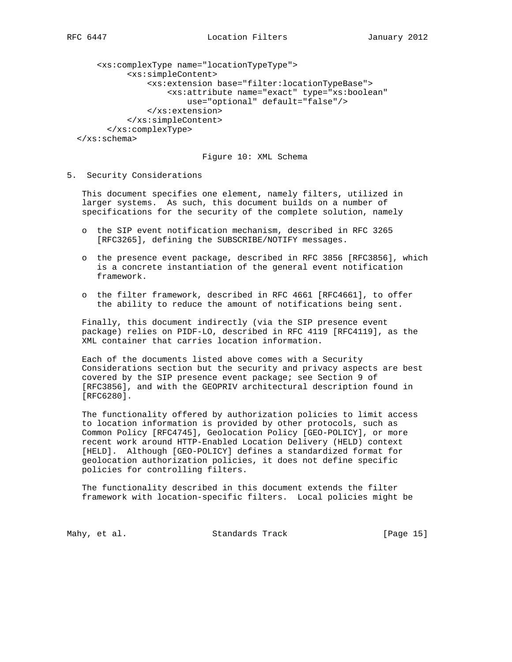```
 <xs:complexType name="locationTypeType">
          <xs:simpleContent>
              <xs:extension base="filter:locationTypeBase">
                   <xs:attribute name="exact" type="xs:boolean"
                       use="optional" default="false"/>
              </xs:extension>
          </xs:simpleContent>
      </xs:complexType>
</xs:schema>
```
Figure 10: XML Schema

5. Security Considerations

 This document specifies one element, namely filters, utilized in larger systems. As such, this document builds on a number of specifications for the security of the complete solution, namely

- o the SIP event notification mechanism, described in RFC 3265 [RFC3265], defining the SUBSCRIBE/NOTIFY messages.
- o the presence event package, described in RFC 3856 [RFC3856], which is a concrete instantiation of the general event notification framework.
- o the filter framework, described in RFC 4661 [RFC4661], to offer the ability to reduce the amount of notifications being sent.

 Finally, this document indirectly (via the SIP presence event package) relies on PIDF-LO, described in RFC 4119 [RFC4119], as the XML container that carries location information.

 Each of the documents listed above comes with a Security Considerations section but the security and privacy aspects are best covered by the SIP presence event package; see Section 9 of [RFC3856], and with the GEOPRIV architectural description found in [RFC6280].

 The functionality offered by authorization policies to limit access to location information is provided by other protocols, such as Common Policy [RFC4745], Geolocation Policy [GEO-POLICY], or more recent work around HTTP-Enabled Location Delivery (HELD) context [HELD]. Although [GEO-POLICY] defines a standardized format for geolocation authorization policies, it does not define specific policies for controlling filters.

 The functionality described in this document extends the filter framework with location-specific filters. Local policies might be

Mahy, et al. Standards Track [Page 15]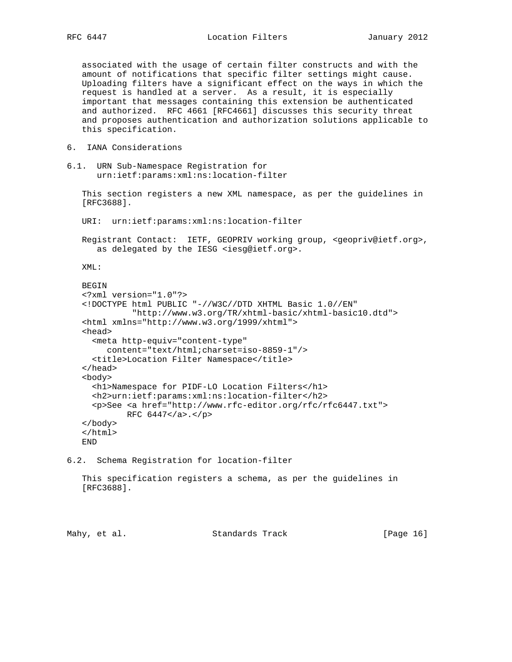associated with the usage of certain filter constructs and with the amount of notifications that specific filter settings might cause. Uploading filters have a significant effect on the ways in which the request is handled at a server. As a result, it is especially important that messages containing this extension be authenticated and authorized. RFC 4661 [RFC4661] discusses this security threat and proposes authentication and authorization solutions applicable to this specification.

- 6. IANA Considerations
- 6.1. URN Sub-Namespace Registration for urn:ietf:params:xml:ns:location-filter

 This section registers a new XML namespace, as per the guidelines in [RFC3688].

URI: urn:ietf:params:xml:ns:location-filter

 Registrant Contact: IETF, GEOPRIV working group, <geopriv@ietf.org>, as delegated by the IESG <iesg@ietf.org>.

XML:

```
BEGIN
<?xml version="1.0"?>
<!DOCTYPE html PUBLIC "-//W3C//DTD XHTML Basic 1.0//EN"
          "http://www.w3.org/TR/xhtml-basic/xhtml-basic10.dtd">
<html xmlns="http://www.w3.org/1999/xhtml">
<head>
  <meta http-equiv="content-type"
     content="text/html;charset=iso-8859-1"/>
  <title>Location Filter Namespace</title>
</head>
<body>
  <h1>Namespace for PIDF-LO Location Filters</h1>
  <h2>urn:ietf:params:xml:ns:location-filter</h2>
  <p>See <a href="http://www.rfc-editor.org/rfc/rfc6447.txt">
         RFC 6447</a>.</p>
</body>
</html>
END
```
6.2. Schema Registration for location-filter

 This specification registers a schema, as per the guidelines in [RFC3688].

Mahy, et al. Standards Track [Page 16]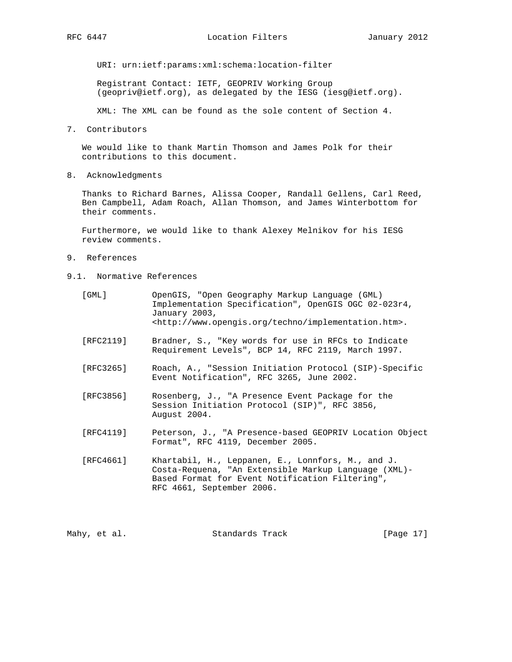URI: urn:ietf:params:xml:schema:location-filter

 Registrant Contact: IETF, GEOPRIV Working Group (geopriv@ietf.org), as delegated by the IESG (iesg@ietf.org).

XML: The XML can be found as the sole content of Section 4.

7. Contributors

 We would like to thank Martin Thomson and James Polk for their contributions to this document.

8. Acknowledgments

 Thanks to Richard Barnes, Alissa Cooper, Randall Gellens, Carl Reed, Ben Campbell, Adam Roach, Allan Thomson, and James Winterbottom for their comments.

 Furthermore, we would like to thank Alexey Melnikov for his IESG review comments.

- 9. References
- 9.1. Normative References

| [GML]     | OpenGIS, "Open Geography Markup Language (GML)<br>Implementation Specification", OpenGIS OGC 02-023r4,<br>January 2003,<br>$\text{thtp:}/\text{/www.openqis.org/techno/implementation.htm}.$ |
|-----------|----------------------------------------------------------------------------------------------------------------------------------------------------------------------------------------------|
| [RFC2119] | Bradner, S., "Key words for use in RFCs to Indicate<br>Requirement Levels", BCP 14, RFC 2119, March 1997.                                                                                    |
| [RFC3265] | Roach, A., "Session Initiation Protocol (SIP)-Specific<br>Event Notification", RFC 3265, June 2002.                                                                                          |
| [RFC3856] | Rosenberg, J., "A Presence Event Package for the<br>Session Initiation Protocol (SIP)", RFC 3856,<br>August 2004.                                                                            |
| [RFC4119] | Peterson, J., "A Presence-based GEOPRIV Location Object<br>Format", RFC 4119, December 2005.                                                                                                 |
| [RFC4661] | Khartabil, H., Leppanen, E., Lonnfors, M., and J.<br>Costa-Requena, "An Extensible Markup Language (XML)-<br>Based Format for Event Notification Filtering",<br>RFC 4661, September 2006.    |

Mahy, et al. Standards Track [Page 17]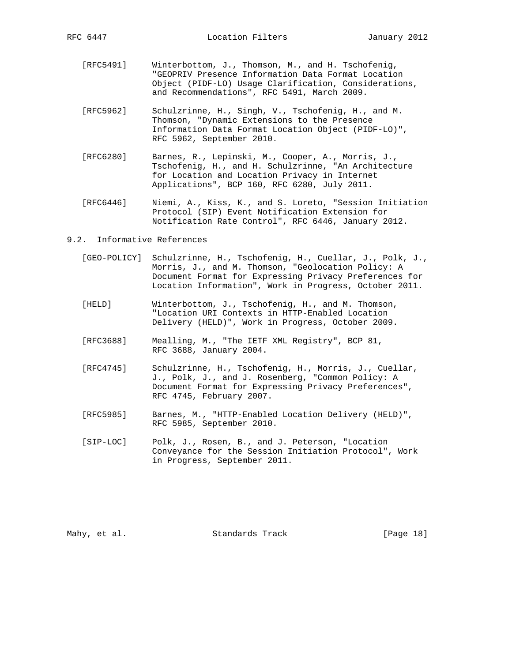- [RFC5491] Winterbottom, J., Thomson, M., and H. Tschofenig, "GEOPRIV Presence Information Data Format Location Object (PIDF-LO) Usage Clarification, Considerations, and Recommendations", RFC 5491, March 2009.
- [RFC5962] Schulzrinne, H., Singh, V., Tschofenig, H., and M. Thomson, "Dynamic Extensions to the Presence Information Data Format Location Object (PIDF-LO)", RFC 5962, September 2010.
- [RFC6280] Barnes, R., Lepinski, M., Cooper, A., Morris, J., Tschofenig, H., and H. Schulzrinne, "An Architecture for Location and Location Privacy in Internet Applications", BCP 160, RFC 6280, July 2011.
- [RFC6446] Niemi, A., Kiss, K., and S. Loreto, "Session Initiation Protocol (SIP) Event Notification Extension for Notification Rate Control", RFC 6446, January 2012.

#### 9.2. Informative References

- [GEO-POLICY] Schulzrinne, H., Tschofenig, H., Cuellar, J., Polk, J., Morris, J., and M. Thomson, "Geolocation Policy: A Document Format for Expressing Privacy Preferences for Location Information", Work in Progress, October 2011.
- [HELD] Winterbottom, J., Tschofenig, H., and M. Thomson, "Location URI Contexts in HTTP-Enabled Location Delivery (HELD)", Work in Progress, October 2009.
- [RFC3688] Mealling, M., "The IETF XML Registry", BCP 81, RFC 3688, January 2004.
- [RFC4745] Schulzrinne, H., Tschofenig, H., Morris, J., Cuellar, J., Polk, J., and J. Rosenberg, "Common Policy: A Document Format for Expressing Privacy Preferences", RFC 4745, February 2007.
- [RFC5985] Barnes, M., "HTTP-Enabled Location Delivery (HELD)", RFC 5985, September 2010.
- [SIP-LOC] Polk, J., Rosen, B., and J. Peterson, "Location Conveyance for the Session Initiation Protocol", Work in Progress, September 2011.

Mahy, et al. Standards Track [Page 18]